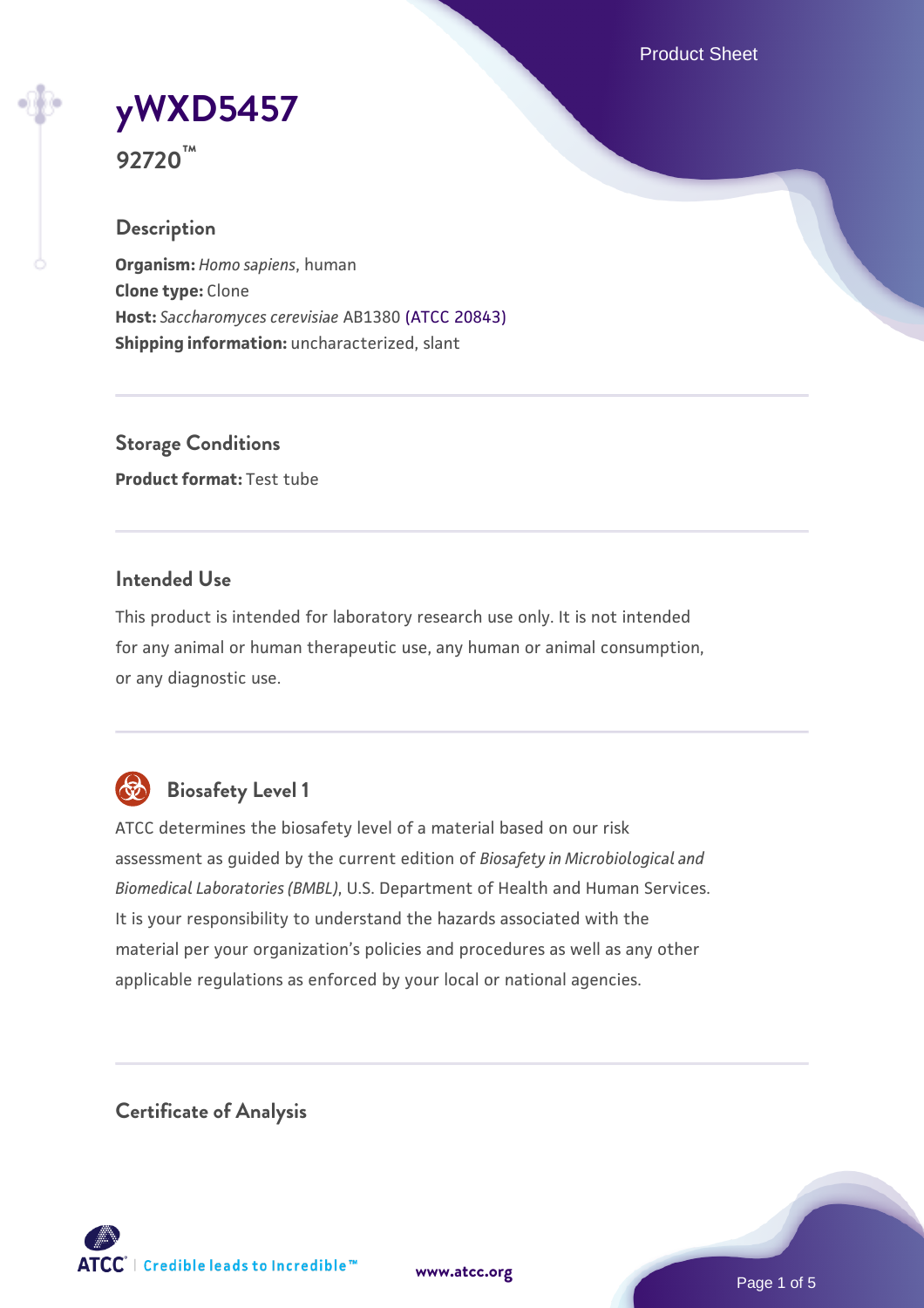Product Sheet

# **[yWXD5457](https://www.atcc.org/products/92720)**

**92720™**

# **Description**

**Organism:** *Homo sapiens*, human **Clone type:** Clone **Host:** *Saccharomyces cerevisiae* AB1380 [\(ATCC 20843\)](https://www.atcc.org/products/20843) **Shipping information:** uncharacterized, slant

**Storage Conditions Product format:** Test tube

# **Intended Use**

This product is intended for laboratory research use only. It is not intended for any animal or human therapeutic use, any human or animal consumption, or any diagnostic use.



# **Biosafety Level 1**

ATCC determines the biosafety level of a material based on our risk assessment as guided by the current edition of *Biosafety in Microbiological and Biomedical Laboratories (BMBL)*, U.S. Department of Health and Human Services. It is your responsibility to understand the hazards associated with the material per your organization's policies and procedures as well as any other applicable regulations as enforced by your local or national agencies.

**Certificate of Analysis**

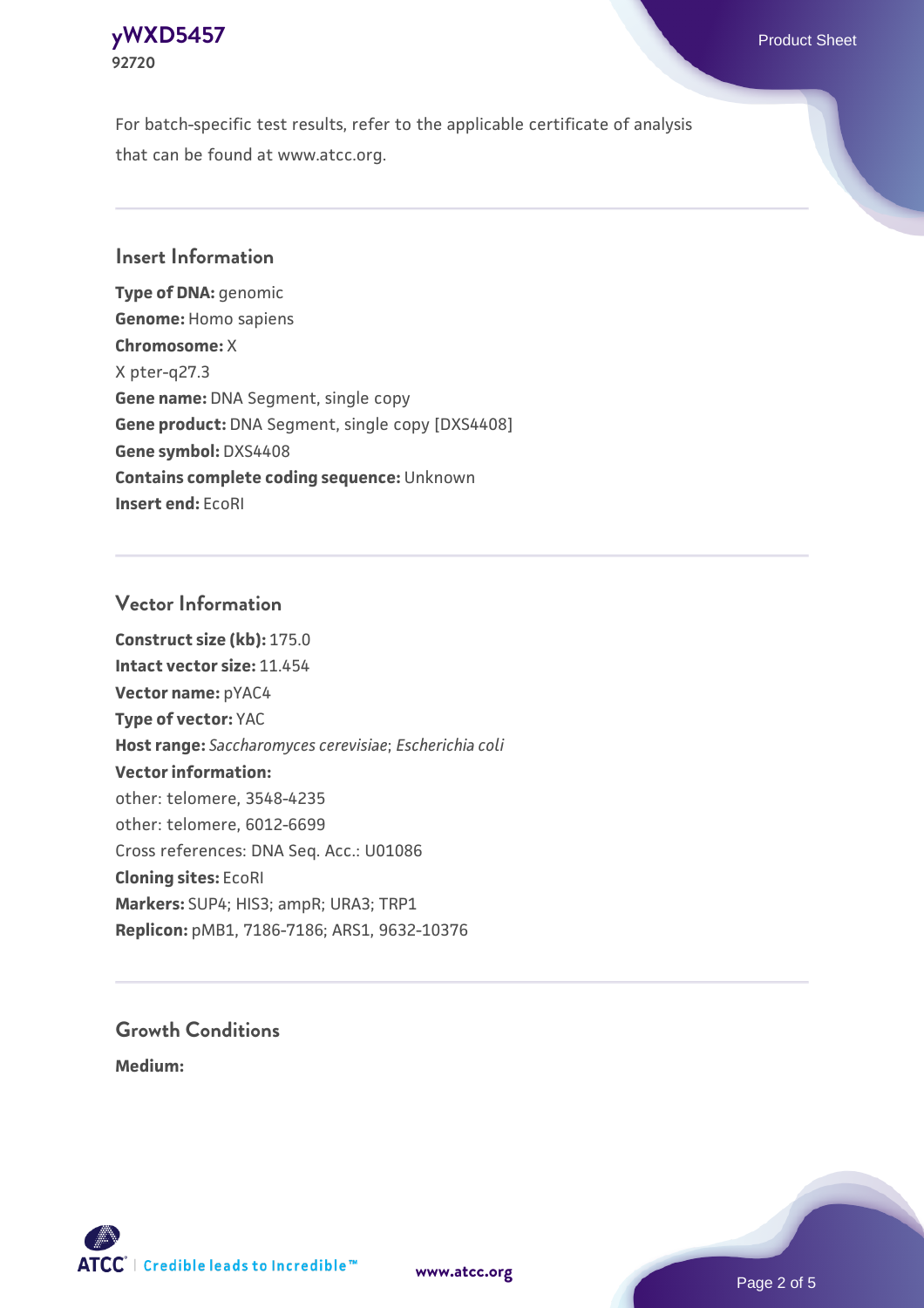#### **[yWXD5457](https://www.atcc.org/products/92720)** Product Sheet **92720**

For batch-specific test results, refer to the applicable certificate of analysis that can be found at www.atcc.org.

## **Insert Information**

**Type of DNA:** genomic **Genome:** Homo sapiens **Chromosome:** X X pter-q27.3 **Gene name:** DNA Segment, single copy **Gene product:** DNA Segment, single copy [DXS4408] **Gene symbol:** DXS4408 **Contains complete coding sequence:** Unknown **Insert end:** EcoRI

## **Vector Information**

**Construct size (kb):** 175.0 **Intact vector size:** 11.454 **Vector name:** pYAC4 **Type of vector:** YAC **Host range:** *Saccharomyces cerevisiae*; *Escherichia coli* **Vector information:** other: telomere, 3548-4235 other: telomere, 6012-6699 Cross references: DNA Seq. Acc.: U01086 **Cloning sites:** EcoRI **Markers:** SUP4; HIS3; ampR; URA3; TRP1 **Replicon:** pMB1, 7186-7186; ARS1, 9632-10376

# **Growth Conditions**

**Medium:** 



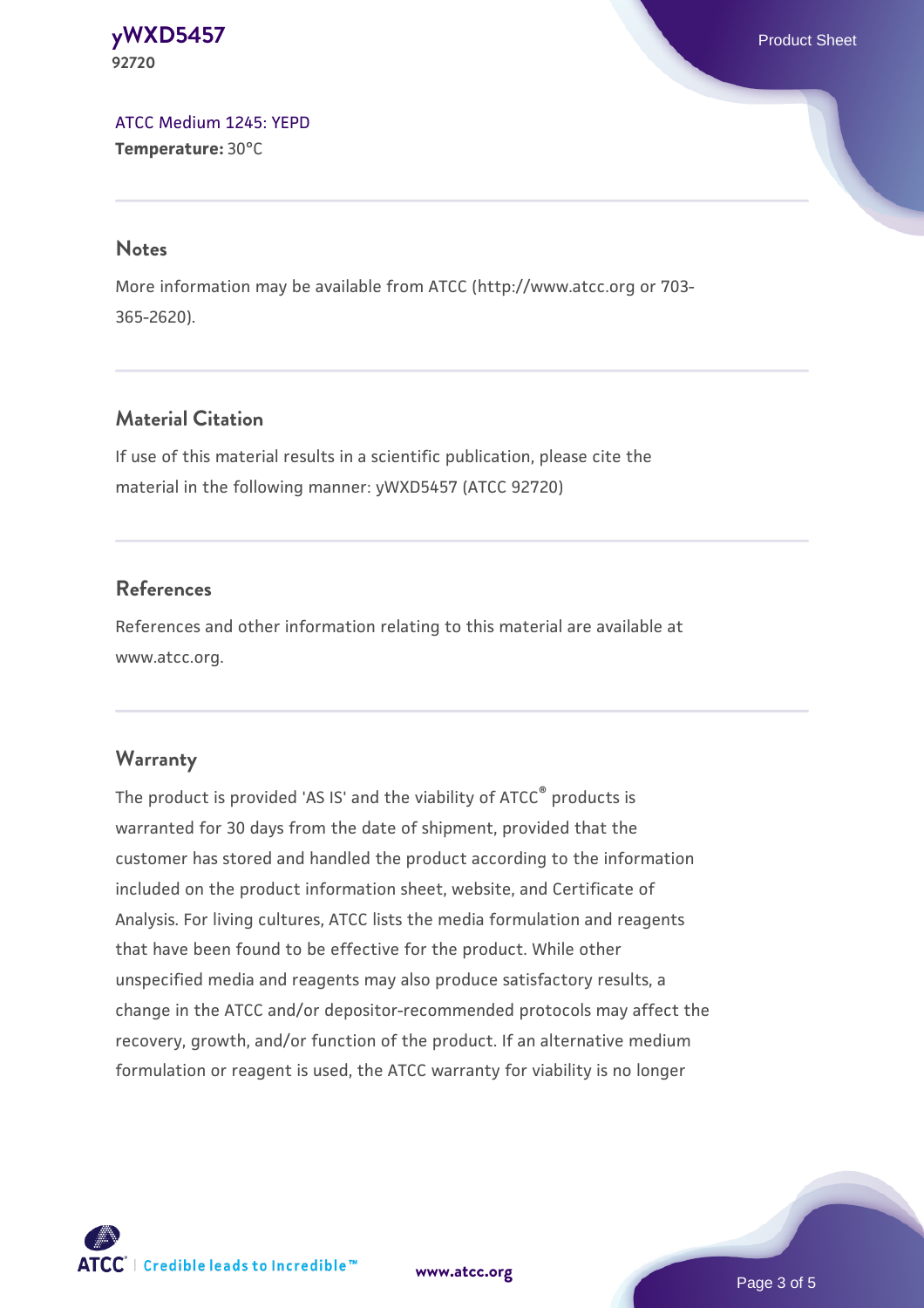#### **[yWXD5457](https://www.atcc.org/products/92720)** Product Sheet **92720**

[ATCC Medium 1245: YEPD](https://www.atcc.org/-/media/product-assets/documents/microbial-media-formulations/1/2/4/5/atcc-medium-1245.pdf?rev=705ca55d1b6f490a808a965d5c072196) **Temperature:** 30°C

#### **Notes**

More information may be available from ATCC (http://www.atcc.org or 703- 365-2620).

# **Material Citation**

If use of this material results in a scientific publication, please cite the material in the following manner: yWXD5457 (ATCC 92720)

# **References**

References and other information relating to this material are available at www.atcc.org.

# **Warranty**

The product is provided 'AS IS' and the viability of ATCC® products is warranted for 30 days from the date of shipment, provided that the customer has stored and handled the product according to the information included on the product information sheet, website, and Certificate of Analysis. For living cultures, ATCC lists the media formulation and reagents that have been found to be effective for the product. While other unspecified media and reagents may also produce satisfactory results, a change in the ATCC and/or depositor-recommended protocols may affect the recovery, growth, and/or function of the product. If an alternative medium formulation or reagent is used, the ATCC warranty for viability is no longer



**[www.atcc.org](http://www.atcc.org)**

Page 3 of 5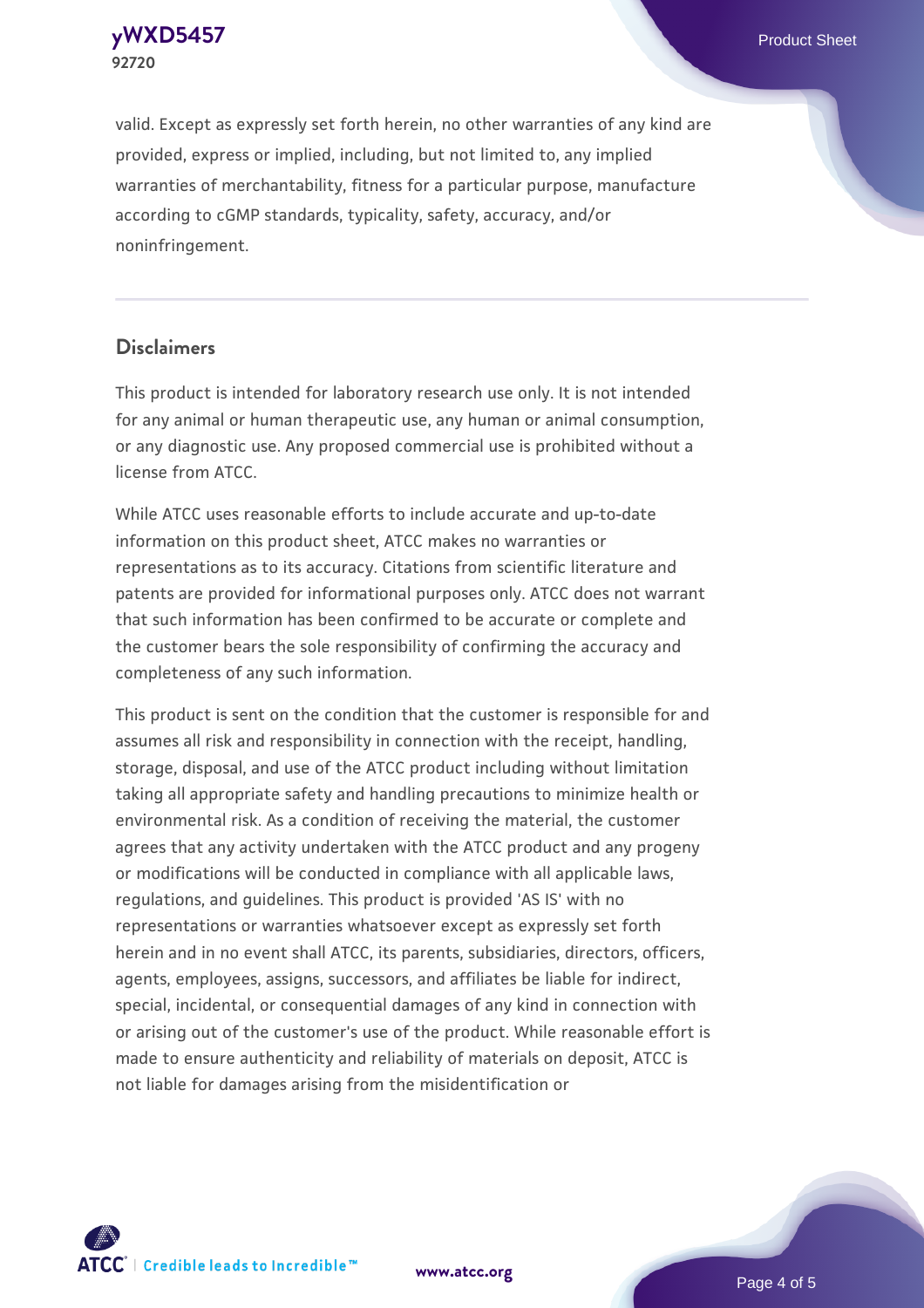**92720**

valid. Except as expressly set forth herein, no other warranties of any kind are provided, express or implied, including, but not limited to, any implied warranties of merchantability, fitness for a particular purpose, manufacture according to cGMP standards, typicality, safety, accuracy, and/or noninfringement.

#### **Disclaimers**

This product is intended for laboratory research use only. It is not intended for any animal or human therapeutic use, any human or animal consumption, or any diagnostic use. Any proposed commercial use is prohibited without a license from ATCC.

While ATCC uses reasonable efforts to include accurate and up-to-date information on this product sheet, ATCC makes no warranties or representations as to its accuracy. Citations from scientific literature and patents are provided for informational purposes only. ATCC does not warrant that such information has been confirmed to be accurate or complete and the customer bears the sole responsibility of confirming the accuracy and completeness of any such information.

This product is sent on the condition that the customer is responsible for and assumes all risk and responsibility in connection with the receipt, handling, storage, disposal, and use of the ATCC product including without limitation taking all appropriate safety and handling precautions to minimize health or environmental risk. As a condition of receiving the material, the customer agrees that any activity undertaken with the ATCC product and any progeny or modifications will be conducted in compliance with all applicable laws, regulations, and guidelines. This product is provided 'AS IS' with no representations or warranties whatsoever except as expressly set forth herein and in no event shall ATCC, its parents, subsidiaries, directors, officers, agents, employees, assigns, successors, and affiliates be liable for indirect, special, incidental, or consequential damages of any kind in connection with or arising out of the customer's use of the product. While reasonable effort is made to ensure authenticity and reliability of materials on deposit, ATCC is not liable for damages arising from the misidentification or



**[www.atcc.org](http://www.atcc.org)**

Page 4 of 5